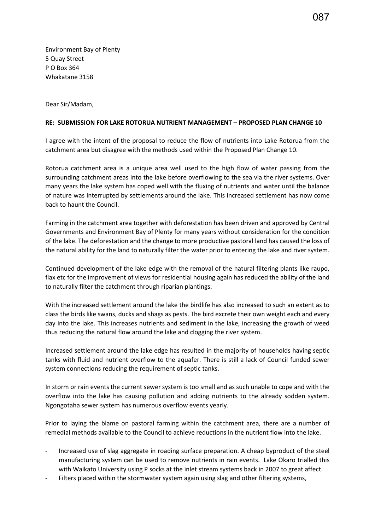Environment Bay of Plenty 5 Quay Street P O Box 364 Whakatane 3158

Dear Sir/Madam,

## **RE: SUBMISSION FOR LAKE ROTORUA NUTRIENT MANAGEMENT – PROPOSED PLAN CHANGE 10**

I agree with the intent of the proposal to reduce the flow of nutrients into Lake Rotorua from the catchment area but disagree with the methods used within the Proposed Plan Change 10.

Rotorua catchment area is a unique area well used to the high flow of water passing from the surrounding catchment areas into the lake before overflowing to the sea via the river systems. Over many years the lake system has coped well with the fluxing of nutrients and water until the balance of nature was interrupted by settlements around the lake. This increased settlement has now come back to haunt the Council.

Farming in the catchment area together with deforestation has been driven and approved by Central Governments and Environment Bay of Plenty for many years without consideration for the condition of the lake. The deforestation and the change to more productive pastoral land has caused the loss of the natural ability for the land to naturally filter the water prior to entering the lake and river system.

Continued development of the lake edge with the removal of the natural filtering plants like raupo, flax etc for the improvement of views for residential housing again has reduced the ability of the land to naturally filter the catchment through riparian plantings.

With the increased settlement around the lake the birdlife has also increased to such an extent as to class the birds like swans, ducks and shags as pests. The bird excrete their own weight each and every day into the lake. This increases nutrients and sediment in the lake, increasing the growth of weed thus reducing the natural flow around the lake and clogging the river system.

Increased settlement around the lake edge has resulted in the majority of households having septic tanks with fluid and nutrient overflow to the aquafer. There is still a lack of Council funded sewer system connections reducing the requirement of septic tanks.

In storm or rain events the current sewer system is too small and as such unable to cope and with the overflow into the lake has causing pollution and adding nutrients to the already sodden system. Ngongotaha sewer system has numerous overflow events yearly.

Prior to laying the blame on pastoral farming within the catchment area, there are a number of remedial methods available to the Council to achieve reductions in the nutrient flow into the lake.

- Increased use of slag aggregate in roading surface preparation. A cheap byproduct of the steel manufacturing system can be used to remove nutrients in rain events. Lake Okaro trialled this with Waikato University using P socks at the inlet stream systems back in 2007 to great affect.
- Filters placed within the stormwater system again using slag and other filtering systems,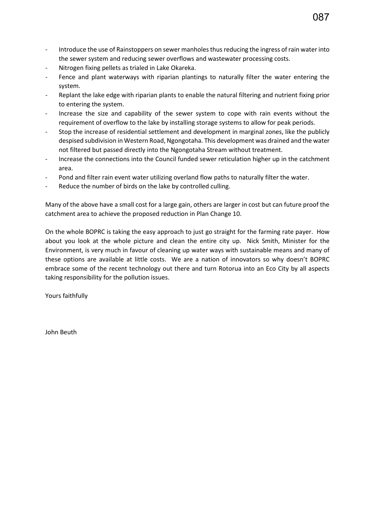- Introduce the use of Rainstoppers on sewer manholes thus reducing the ingress of rain water into the sewer system and reducing sewer overflows and wastewater processing costs.
- Nitrogen fixing pellets as trialed in Lake Okareka.
- Fence and plant waterways with riparian plantings to naturally filter the water entering the system.
- Replant the lake edge with riparian plants to enable the natural filtering and nutrient fixing prior to entering the system.
- Increase the size and capability of the sewer system to cope with rain events without the requirement of overflow to the lake by installing storage systems to allow for peak periods.
- Stop the increase of residential settlement and development in marginal zones, like the publicly despised subdivision in Western Road, Ngongotaha. This development was drained and the water not filtered but passed directly into the Ngongotaha Stream without treatment.
- Increase the connections into the Council funded sewer reticulation higher up in the catchment area.
- Pond and filter rain event water utilizing overland flow paths to naturally filter the water.
- Reduce the number of birds on the lake by controlled culling.

Many of the above have a small cost for a large gain, others are larger in cost but can future proof the catchment area to achieve the proposed reduction in Plan Change 10.

On the whole BOPRC is taking the easy approach to just go straight for the farming rate payer. How about you look at the whole picture and clean the entire city up. Nick Smith, Minister for the Environment, is very much in favour of cleaning up water ways with sustainable means and many of these options are available at little costs. We are a nation of innovators so why doesn't BOPRC embrace some of the recent technology out there and turn Rotorua into an Eco City by all aspects taking responsibility for the pollution issues.

Yours faithfully

John Beuth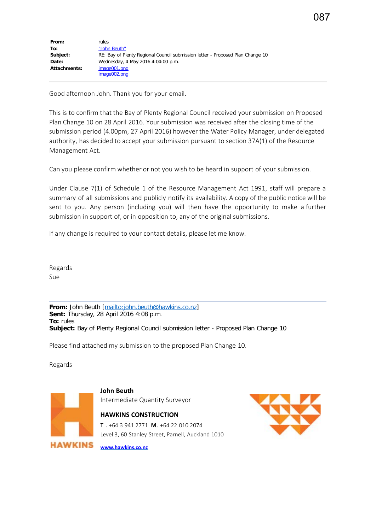Good afternoon John. Thank you for your email.

This is to confirm that the Bay of Plenty Regional Council received your submission on Proposed Plan Change 10 on 28 April 2016. Your submission was received after the closing time of the submission period (4.00pm, 27 April 2016) however the Water Policy Manager, under delegated authority, has decided to accept your submission pursuant to section 37A(1) of the Resource Management Act.

Can you please confirm whether or not you wish to be heard in support of your submission.

Under Clause 7(1) of Schedule 1 of the Resource Management Act 1991, staff will prepare a summary of all submissions and publicly notify its availability. A copy of the public notice will be sent to you. Any person (including you) will then have the opportunity to make a further submission in support of, or in opposition to, any of the original submissions.

If any change is required to your contact details, please let me know.

Regards Sue

**From:** John Beuth [[mailto:john.beuth@hawkins.co.nz\]](mailto:john.beuth@hawkins.co.nz) **Sent:** Thursday, 28 April 2016 4:08 p.m. **To:** rules **Subject:** Bay of Plenty Regional Council submission letter - Proposed Plan Change 10

Please find attached my submission to the proposed Plan Change 10.

Regards



**John Beuth** Intermediate Quantity Surveyor

## **HAWKINS CONSTRUCTION**

**T** . +64 3 941 2771 **M**. +64 22 010 2074 Level 3, 60 Stanley Street, Parnell, Auckland 1010

**[www.hawkins.co.nz](http://www.hawkins.co.nz/)**